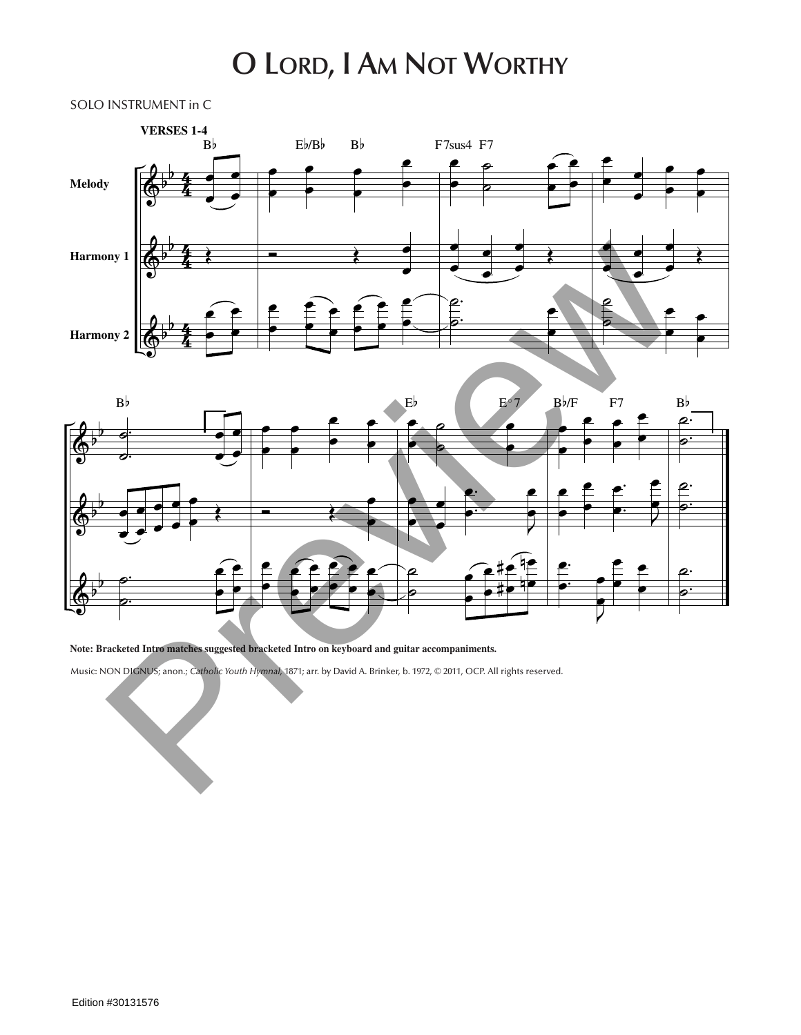## **O Lord, I Am Not Worthy**

SOLO INSTRUMENT in C





**Note: Bracketed Intro matches suggested bracketed Intro on keyboard and guitar accompaniments.**